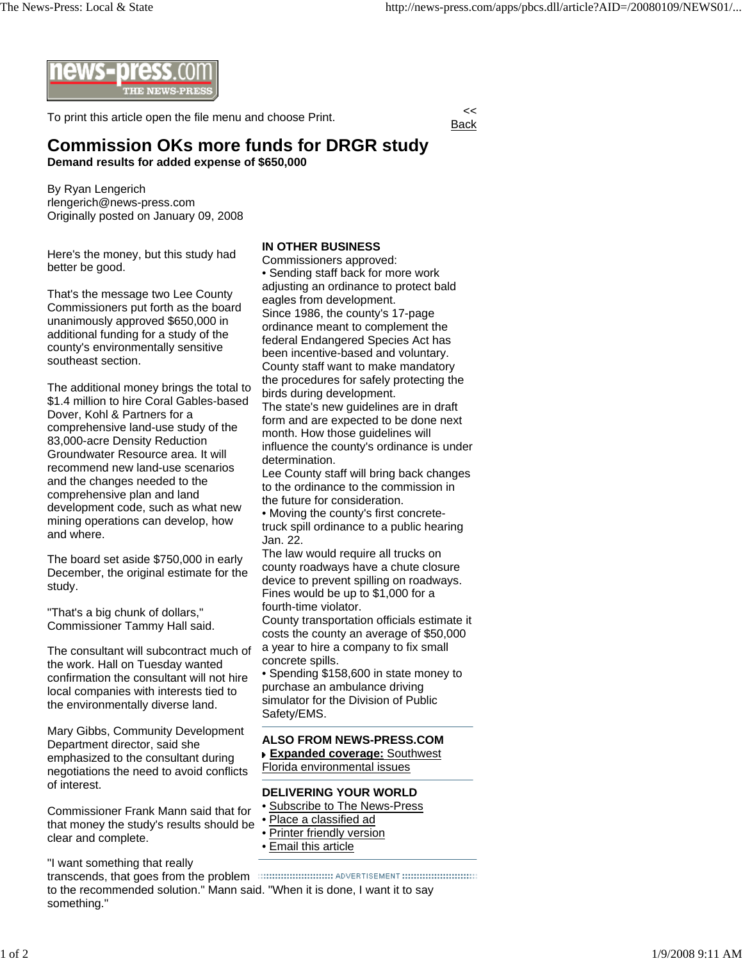

To print this article open the file menu and choose Print.

Back

## **Commission OKs more funds for DRGR study Demand results for added expense of \$650,000**

By Ryan Lengerich rlengerich@news-press.com Originally posted on January 09, 2008

Here's the money, but this study had better be good.

That's the message two Lee County Commissioners put forth as the board unanimously approved \$650,000 in additional funding for a study of the county's environmentally sensitive southeast section.

The additional money brings the total to \$1.4 million to hire Coral Gables-based Dover, Kohl & Partners for a comprehensive land-use study of the 83,000-acre Density Reduction Groundwater Resource area. It will recommend new land-use scenarios and the changes needed to the comprehensive plan and land development code, such as what new mining operations can develop, how and where.

The board set aside \$750,000 in early December, the original estimate for the study.

"That's a big chunk of dollars," Commissioner Tammy Hall said.

The consultant will subcontract much of the work. Hall on Tuesday wanted confirmation the consultant will not hire local companies with interests tied to the environmentally diverse land.

Mary Gibbs, Community Development Department director, said she emphasized to the consultant during negotiations the need to avoid conflicts of interest.

Commissioner Frank Mann said that for that money the study's results should be clear and complete.

"I want something that really

transcends, that goes from the problem to the recommended solution." Mann said. "When it is done, I want it to say something."

## **IN OTHER BUSINESS**

Commissioners approved: • Sending staff back for more work adjusting an ordinance to protect bald eagles from development. Since 1986, the county's 17-page ordinance meant to complement the federal Endangered Species Act has been incentive-based and voluntary. County staff want to make mandatory the procedures for safely protecting the birds during development. The state's new guidelines are in draft form and are expected to be done next month. How those guidelines will influence the county's ordinance is under determination. Lee County staff will bring back changes to the ordinance to the commission in the future for consideration. • Moving the county's first concretetruck spill ordinance to a public hearing Jan. 22. The law would require all trucks on county roadways have a chute closure device to prevent spilling on roadways. Fines would be up to \$1,000 for a fourth-time violator. County transportation officials estimate it costs the county an average of \$50,000 a year to hire a company to fix small concrete spills. • Spending \$158,600 in state money to purchase an ambulance driving simulator for the Division of Public Safety/EMS. **ALSO FROM NEWS-PRESS.COM Expanded coverage:** Southwest

Florida environmental issues

## **DELIVERING YOUR WORLD**

- Subscribe to The News-Press
- Place a classified ad
- Printer friendly version
- Email this article